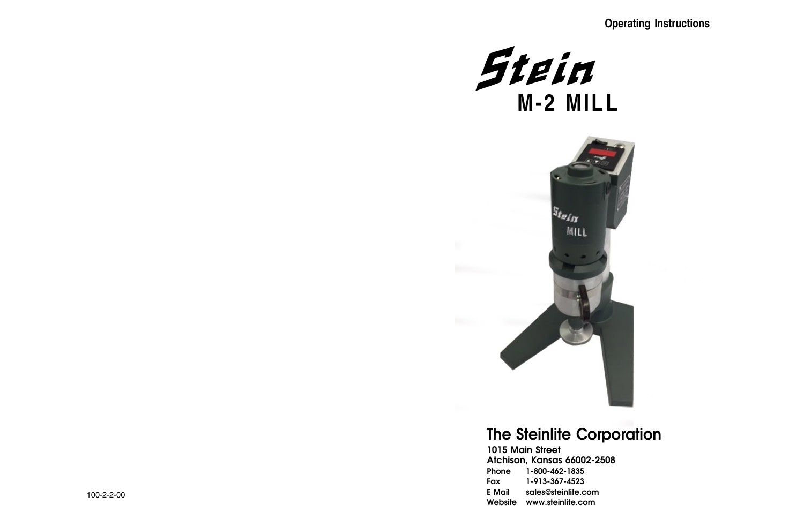## **Operating Instructions**

 $-2508$ 

om

# The Steinlite Corporation

|               | 1015 Main Street        |
|---------------|-------------------------|
|               | Atchison, Kansas 66002- |
| Phone         | 1-800-462-1835          |
| Fax           | 1-913-367-4523          |
| <b>E</b> Mail | sales@steinlite.con     |
| Website       | www.steinlite.com       |



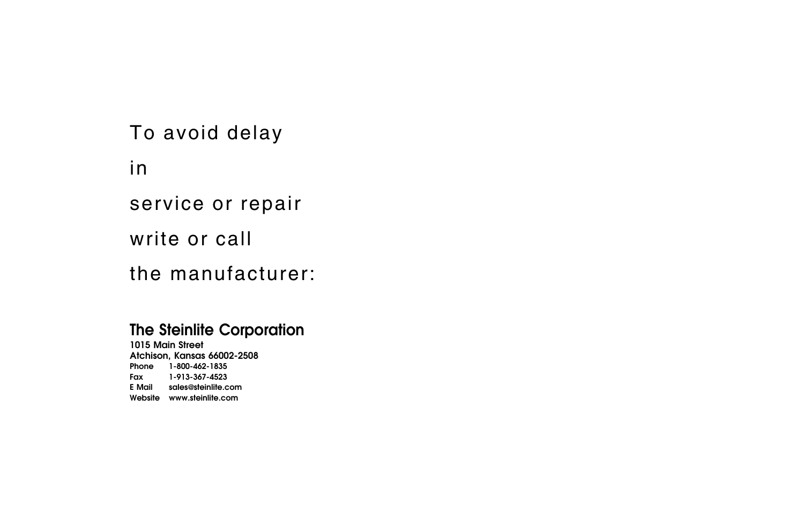# The Steinlite Corporation

1015 Main Street Atchison, Kansas 66002-2508 Phone Fax E Mail Website www.steinlite.com 1-800-462-1835 1-913-367-4523 sales@steinlite.com

To avoid delay

in

service or repair

write or call

the manufacturer: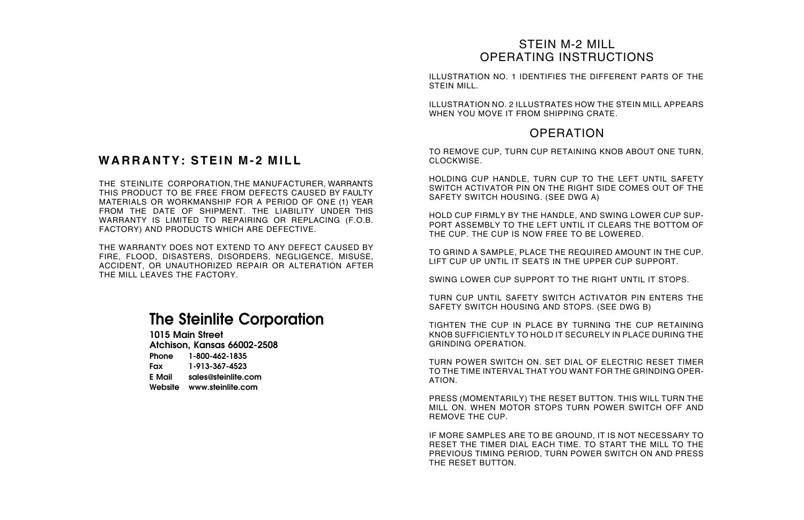## **WARRANTY: STEIN M-2 MILL**

ILLUSTRATION NO. 1 IDENTIFIES THE DIFFERENT PARTS OF THE STEIN MILL.

ILLUSTRATION NO. 2 ILLUSTRATES HOW THE STEIN MILL APPEARS WHEN YOU MOVE IT FROM SHIPPING CRATE.

### **OPERATION**

## STEIN M-2 MILL OPERATING INSTRUCTIONS

# The Steinlite Corporation

1015 Main Street Atchison, Kansas 66002-2508

Phone 1-800-462-1835 Fax E Mail sales@steinlite.com Website www.steinlite.com 1-913-367-4523

TO REMOVE CUP, TURN CUP RETAINING KNOB ABOUT ONE TURN, CLOCKWISE.

HOLDING CUP HANDLE, TURN CUP TO THE LEFT UNTIL SAFETY SWITCH ACTIVATOR PIN ON THE RIGHT SIDE COMES OUT OF THE SAFETY SWITCH HOUSING. (SEE DWG A)

HOLD CUP FIRMLY BY THE HANDLE, AND SWING LOWER CUP SUP-PORT ASSEMBLY TO THE LEFT UNTIL IT CLEARS THE BOTTOM OF THE CUP. THE CUP IS NOW FREE TO BE LOWERED.

TO GRIND A SAMPLE, PLACE THE REQUIRED AMOUNT IN THE CUP. LIFT CUP UP UNTIL IT SEATS IN THE UPPER CUP SUPPORT.

SWING LOWER CUP SUPPORT TO THE RIGHT UNTIL IT STOPS.

THE STEINLITE CORPORATION,THE MANUFACTURER, WARRANTS THIS PRODUCT TO BE FREE FROM DEFECTS CAUSED BY FAULTY MATERIALS OR WORKMANSHIP FOR A PERIOD OF ONE (1) YEAR FROM THE DATE OF SHIPMENT. THE LIABILITY UNDER THIS WARRANTY IS LIMITED TO REPAIRING OR REPLACING (F.O.B. FACTORY) AND PRODUCTS WHICH ARE DEFECTIVE.

> TURN CUP UNTIL SAFETY SWITCH ACTIVATOR PIN ENTERS THE SAFETY SWITCH HOUSING AND STOPS. (SEE DWG B)

> TIGHTEN THE CUP IN PLACE BY TURNING THE CUP RETAINING KNOB SUFFICIENTLY TO HOLD IT SECURELY IN PLACE DURING THE GRINDING OPERATION.

> TURN POWER SWITCH ON. SET DIAL OF ELECTRIC RESET TIMER TO THE TIME INTERVAL THAT YOU WANT FOR THE GRINDING OPER-ATION.

> PRESS (MOMENTARILY) THE RESET BUTTON. THIS WILL TURN THE MILL ON. WHEN MOTOR STOPS TURN POWER SWITCH OFF AND REMOVE THE CUP.

> IF MORE SAMPLES ARE TO BE GROUND, IT IS NOT NECESSARY TO RESET THE TIMER DIAL EACH TIME. TO START THE MILL TO THE PREVIOUS TIMING PERIOD, TURN POWER SWITCH ON AND PRESS THE RESET BUTTON.

THE WARRANTY DOES NOT EXTEND TO ANY DEFECT CAUSED BY FIRE, FLOOD, DISASTERS, DISORDERS, NEGLIGENCE, MISUSE, ACCIDENT, OR UNAUTHORIZED REPAIR OR ALTERATION AFTER THE MILL LEAVES THE FACTORY.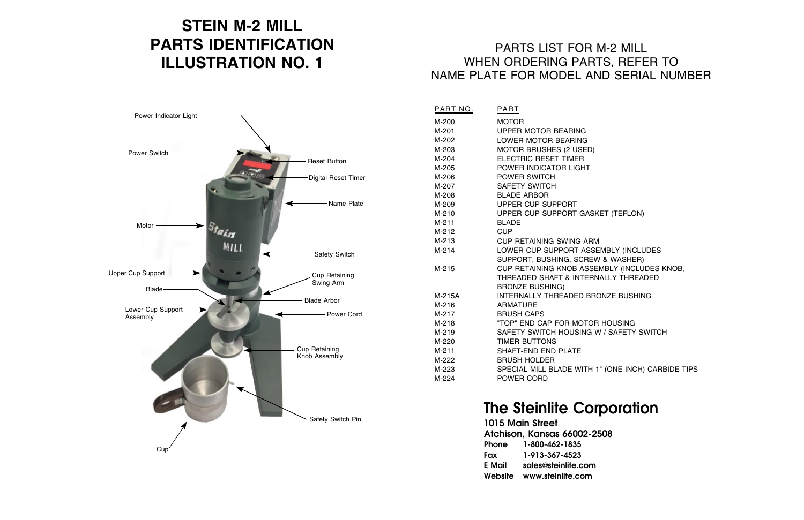# **STEIN M-2 MILL PARTS IDENTIFICATION ILLUSTRATION NO. 1**

# The Steinlite Corporation

1015 Main Street Atchison, Kansas 66002-2508 Phone 1-800-462-1835 Fax E Mail Website www.steinlite.com 1-913-367-4523 sales@steinlite.com

**SKET (TEFLON)** 

**SSEMBLY (INCLUDES** EW & WASHER) SEMBLY (INCLUDES KNOB, RNALLY THREADED

BRONZE BUSHING

**OR HOUSING** G W / SAFETY SWITCH

H 1" (ONE INCH) CARBIDE TIPS

## PARTS LIST FOR M-2 MILL WHEN ORDERING PARTS, REFER TO NAME PLATE FOR MODEL AND SERIAL NUMBER

PART NO.

M-200 M-201 M-202 M-203 M-204 M-205 M-206 M-207 M-208 M-209 M-210 M-211 M-212 M-213 M-214

M-215

M-215A M-216 M-217 M-218 M-219 M-220 M-211 M-222 M-223 M-224

| <b>PART</b>                                              |
|----------------------------------------------------------|
| <b>MOTOR</b><br><b>UPPER MOTOR BEARING</b>               |
| <b>LOWER MOTOR BEARING</b>                               |
| <b>MOTOR BRUSHES (2 USED)</b>                            |
| <b>ELECTRIC RESET TIMER</b>                              |
| POWER INDICATOR LIGHT                                    |
| <b>POWER SWITCH</b>                                      |
| <b>SAFETY SWITCH</b>                                     |
| <b>BLADE ARBOR</b>                                       |
| <b>UPPER CUP SUPPORT</b>                                 |
| <b>UPPER CUP SUPPORT GASK</b>                            |
| <b>BLADE</b>                                             |
| <b>CUP</b>                                               |
| <b>CUP RETAINING SWING ARM</b>                           |
| <b>LOWER CUP SUPPORT ASSE</b>                            |
| SUPPORT, BUSHING, SCREW                                  |
| <b>CUP RETAINING KNOB ASSE</b>                           |
| <b>THREADED SHAFT &amp; INTERN</b>                       |
| <b>BRONZE BUSHING)</b><br><b>INTERNALLY THREADED BRO</b> |
| <b>ARMATURE</b>                                          |
| <b>BRUSH CAPS</b>                                        |
| "TOP" END CAP FOR MOTOR                                  |
| SAFETY SWITCH HOUSING W                                  |
| <b>TIMER BUTTONS</b>                                     |
| <b>SHAFT-END END PLATE</b>                               |
| <b>BRUSH HOLDER</b>                                      |
| <b>SPECIAL MILL BLADE WITH 1</b>                         |
| <b>POWER CORD</b>                                        |
|                                                          |

| Power Indicator Light-                  |                                                    |
|-----------------------------------------|----------------------------------------------------|
| Power Switch                            | Reset Button                                       |
|                                         | <b>Digital Reset Timer</b><br>Name Plate           |
| Motor<br>Stein<br><b>MILL</b>           |                                                    |
| Upper Cup Support                       | <b>Safety Switch</b><br>Cup Retaining<br>Swing Arm |
| Blade-<br>Lower Cup Support<br>Assembly | <b>Blade Arbor</b><br>- Power Cord                 |
|                                         | Cup Retaining<br>Knob Assembly                     |
| Cup                                     | Safety Switch Pin                                  |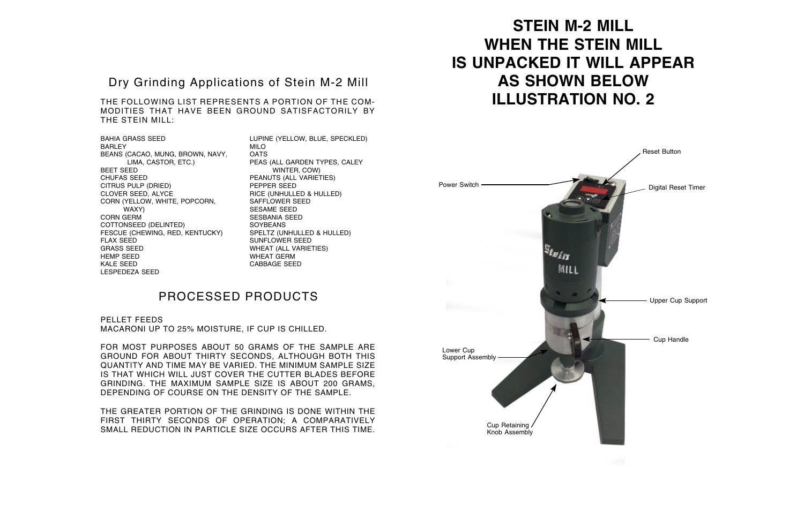### Dry Grinding Applications of Stein M-2 Mill

THE FOLLOWING LIST REPRESENTS A PORTION OF THE COM-MODITIES THAT HAVE BEEN GROUND SATISFACTORILY BY THE STEIN MILL:

BAHIA GRASS SEED BARLEY BEANS (CACAO, MUNG, BROWN, NAVY, LIMA, CASTOR, ETC.) BEET SEED CHUFAS SEED CITRUS PULP (DRIED) CLOVER SEED, ALYCE CORN (YELLOW, WHITE, POPCORN, WAXY) CORN GERM COTTONSEED (DELINTED) FESCUE (CHEWING, RED, KENTUCKY) FLAX SEED GRASS SEED HEMP SEED KALE SEED LESPEDEZA SEED

LUPINE (YELLOW, BLUE, SPECKLED) MILO **OATS** PEAS (ALL GARDEN TYPES, CALEY WINTER, COW) PEANUTS (ALL VARIETIES) PEPPER SEED RICE (UNHULLED & HULLED) SAFFLOWER SEED SESAME SEED SESBANIA SEED **SOYBEANS** SPELTZ (UNHULLED & HULLED) SUNFLOWER SEED WHEAT (ALL VARIETIES) WHEAT GERM CABBAGE SEED

### PROCESSED PRODUCTS

PELLET FEEDS MACARONI UP TO 25% MOISTURE, IF CUP IS CHILLED.

FOR MOST PURPOSES ABOUT 50 GRAMS OF THE SAMPLE ARE GROUND FOR ABOUT THIRTY SECONDS, ALTHOUGH BOTH THIS QUANTITY AND TIME MAY BE VARIED. THE MINIMUM SAMPLE SIZE IS THAT WHICH WILL JUST COVER THE CUTTER BLADES BEFORE GRINDING. THE MAXIMUM SAMPLE SIZE IS ABOUT 200 GRAMS, DEPENDING OF COURSE ON THE DENSITY OF THE SAMPLE.

THE GREATER PORTION OF THE GRINDING IS DONE WITHIN THE FIRST THIRTY SECONDS OF OPERATION; A COMPARATIVELY SMALL REDUCTION IN PARTICLE SIZE OCCURS AFTER THIS TIME.

# **STEIN M-2 MILL WHEN THE STEIN MILL IS UNPACKED IT WILL APPEAR AS SHOWN BELOW ILLUSTRATION NO. 2**